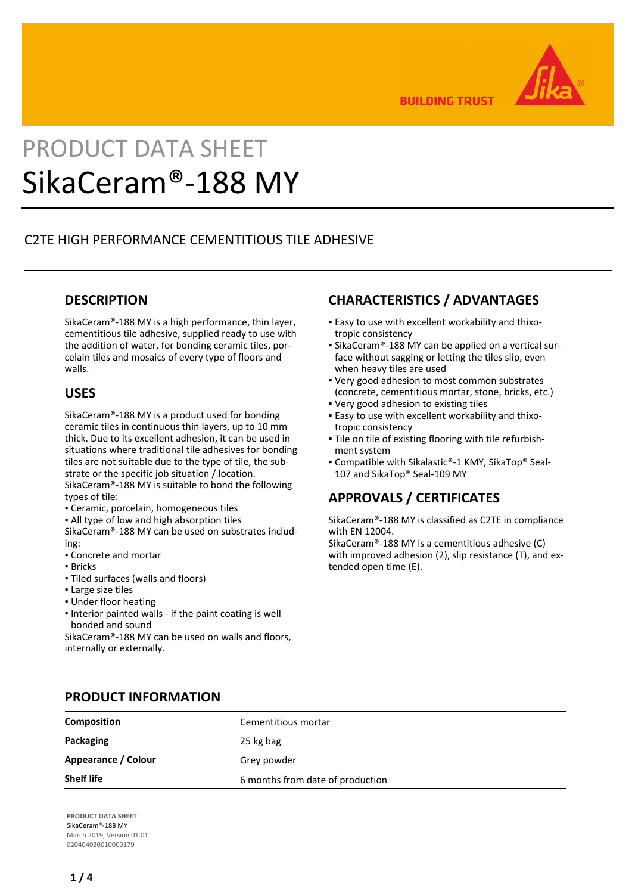

**BUILDING TRUST** 

# PRODUCT DATA SHEET SikaCeram®-188 MY

# C2TE HIGH PERFORMANCE CEMENTITIOUS TILE ADHESIVE

### **DESCRIPTION**

SikaCeram®-188 MY is a high performance, thin layer, cementitious tile adhesive, supplied ready to use with the addition of water, for bonding ceramic tiles, porcelain tiles and mosaics of every type of floors and walls.

## **USES**

SikaCeram®-188 MY is a product used for bonding ceramic tiles in continuous thin layers, up to 10 mm thick. Due to its excellent adhesion, it can be used in situations where traditional tile adhesives for bonding tiles are not suitable due to the type of tile, the substrate or the specific job situation / location. SikaCeram®-188 MY is suitable to bond the following types of tile:

- Ceramic, porcelain, homogeneous tiles
- **.** All type of low and high absorption tiles

SikaCeram®-188 MY can be used on substrates including:

- Concrete and mortar
- Bricks
- Tiled surfaces (walls and floors)
- Large size tiles
- Under floor heating
- Interior painted walls if the paint coating is well bonded and sound

SikaCeram®-188 MY can be used on walls and floors, internally or externally.

# **CHARACTERISTICS / ADVANTAGES**

- Easy to use with excellent workability and thixo-▪ tropic consistency
- SikaCeram®-188 MY can be applied on a vertical sur-▪ face without sagging or letting the tiles slip, even when heavy tiles are used
- Very good adhesion to most common substrates (concrete, cementitious mortar, stone, bricks, etc.)
- Very good adhesion to existing tiles
- Easy to use with excellent workability and thixo-▪ tropic consistency
- Tile on tile of existing flooring with tile refurbish-▪ ment system
- Compatible with Sikalastic®-1 KMY, SikaTop® Seal-107 and SikaTop® Seal-109 MY

# **APPROVALS / CERTIFICATES**

SikaCeram®-188 MY is classified as C2TE in compliance with EN 12004.

SikaCeram®-188 MY is a cementitious adhesive (C) with improved adhesion (2), slip resistance (T), and extended open time (E).

| <b>Composition</b>  | Cementitious mortar              |  |  |  |
|---------------------|----------------------------------|--|--|--|
| Packaging           | 25 kg bag                        |  |  |  |
|                     |                                  |  |  |  |
| Appearance / Colour | Grey powder                      |  |  |  |
| <b>Shelf life</b>   | 6 months from date of production |  |  |  |

## **PRODUCT INFORMATION**

**PRODUCT DATA SHEET** SikaCeram®-188 MY March 2019, Version 01.01 020404020010000179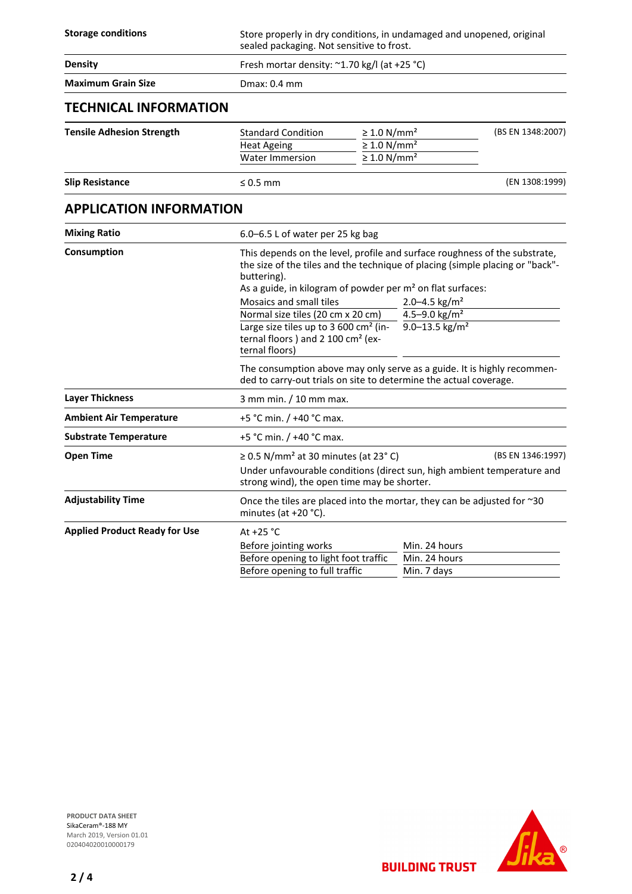| <b>Storage conditions</b>            | Store properly in dry conditions, in undamaged and unopened, original<br>sealed packaging. Not sensitive to frost.                                                                                                                                                            |                                                                                              |                                                                                                                                                                                                                                               |                   |  |
|--------------------------------------|-------------------------------------------------------------------------------------------------------------------------------------------------------------------------------------------------------------------------------------------------------------------------------|----------------------------------------------------------------------------------------------|-----------------------------------------------------------------------------------------------------------------------------------------------------------------------------------------------------------------------------------------------|-------------------|--|
| <b>Density</b>                       | Fresh mortar density: ~1.70 kg/l (at +25 °C)                                                                                                                                                                                                                                  |                                                                                              |                                                                                                                                                                                                                                               |                   |  |
| <b>Maximum Grain Size</b>            | Dmax: 0.4 mm                                                                                                                                                                                                                                                                  |                                                                                              |                                                                                                                                                                                                                                               |                   |  |
| <b>TECHNICAL INFORMATION</b>         |                                                                                                                                                                                                                                                                               |                                                                                              |                                                                                                                                                                                                                                               |                   |  |
| <b>Tensile Adhesion Strength</b>     | <b>Standard Condition</b><br><b>Heat Ageing</b><br><b>Water Immersion</b>                                                                                                                                                                                                     | $\geq 1.0$ N/mm <sup>2</sup><br>$\geq 1.0$ N/mm <sup>2</sup><br>$\geq 1.0$ N/mm <sup>2</sup> |                                                                                                                                                                                                                                               | (BS EN 1348:2007) |  |
| <b>Slip Resistance</b>               | $\leq 0.5$ mm                                                                                                                                                                                                                                                                 |                                                                                              |                                                                                                                                                                                                                                               | (EN 1308:1999)    |  |
| <b>APPLICATION INFORMATION</b>       |                                                                                                                                                                                                                                                                               |                                                                                              |                                                                                                                                                                                                                                               |                   |  |
| <b>Mixing Ratio</b>                  | 6.0-6.5 L of water per 25 kg bag                                                                                                                                                                                                                                              |                                                                                              |                                                                                                                                                                                                                                               |                   |  |
| Consumption                          | buttering).<br>As a guide, in kilogram of powder per m <sup>2</sup> on flat surfaces:<br>Mosaics and small tiles<br>Normal size tiles (20 cm x 20 cm)<br>Large size tiles up to 3 600 cm <sup>2</sup> (in-<br>ternal floors) and 2 100 cm <sup>2</sup> (ex-<br>ternal floors) |                                                                                              | This depends on the level, profile and surface roughness of the substrate,<br>the size of the tiles and the technique of placing (simple placing or "back"-<br>2.0-4.5 $\text{kg/m}^2$<br>4.5-9.0 $\text{kg/m}^2$<br>9.0-13.5 $\text{kg/m}^2$ |                   |  |
|                                      | The consumption above may only serve as a guide. It is highly recommen-<br>ded to carry-out trials on site to determine the actual coverage.                                                                                                                                  |                                                                                              |                                                                                                                                                                                                                                               |                   |  |
| <b>Layer Thickness</b>               | 3 mm min. / 10 mm max.                                                                                                                                                                                                                                                        |                                                                                              |                                                                                                                                                                                                                                               |                   |  |
| <b>Ambient Air Temperature</b>       | +5 °C min. / +40 °C max.                                                                                                                                                                                                                                                      |                                                                                              |                                                                                                                                                                                                                                               |                   |  |
| <b>Substrate Temperature</b>         | +5 °C min. / +40 °C max.                                                                                                                                                                                                                                                      |                                                                                              |                                                                                                                                                                                                                                               |                   |  |
| <b>Open Time</b>                     | $\geq$ 0.5 N/mm <sup>2</sup> at 30 minutes (at 23°C)<br>(BS EN 1346:1997)<br>Under unfavourable conditions (direct sun, high ambient temperature and<br>strong wind), the open time may be shorter.                                                                           |                                                                                              |                                                                                                                                                                                                                                               |                   |  |
| <b>Adjustability Time</b>            | Once the tiles are placed into the mortar, they can be adjusted for $\sim$ 30<br>minutes (at $+20$ °C).                                                                                                                                                                       |                                                                                              |                                                                                                                                                                                                                                               |                   |  |
| <b>Applied Product Ready for Use</b> | At $+25$ °C<br>Before jointing works<br>Before opening to light foot traffic<br>Before opening to full traffic                                                                                                                                                                |                                                                                              | Min. 24 hours<br>Min. 24 hours<br>Min. 7 days                                                                                                                                                                                                 |                   |  |

**PRODUCT DATA SHEET** SikaCeram®-188 MY March 2019, Version 01.01 020404020010000179



**BUILDING TRUST**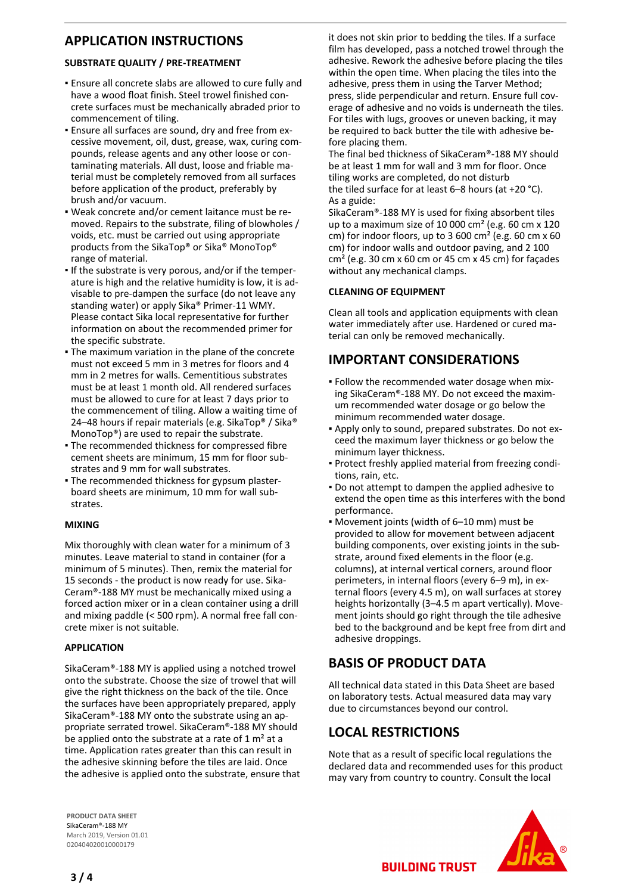## **APPLICATION INSTRUCTIONS**

#### **SUBSTRATE QUALITY / PRE-TREATMENT**

- **Ensure all concrete slabs are allowed to cure fully and** have a wood float finish. Steel trowel finished concrete surfaces must be mechanically abraded prior to commencement of tiling.
- Ensure all surfaces are sound, dry and free from ex-▪ cessive movement, oil, dust, grease, wax, curing compounds, release agents and any other loose or contaminating materials. All dust, loose and friable material must be completely removed from all surfaces before application of the product, preferably by brush and/or vacuum.
- Weak concrete and/or cement laitance must be re-▪ moved. Repairs to the substrate, filing of blowholes / voids, etc. must be carried out using appropriate products from the SikaTop® or Sika® MonoTop® range of material.
- If the substrate is very porous, and/or if the temperature is high and the relative humidity is low, it is advisable to pre-dampen the surface (do not leave any standing water) or apply Sika® Primer-11 WMY. Please contact Sika local representative for further information on about the recommended primer for the specific substrate.
- The maximum variation in the plane of the concrete must not exceed 5 mm in 3 metres for floors and 4 mm in 2 metres for walls. Cementitious substrates must be at least 1 month old. All rendered surfaces must be allowed to cure for at least 7 days prior to the commencement of tiling. Allow a waiting time of 24–48 hours if repair materials (e.g. SikaTop® / Sika® MonoTop®) are used to repair the substrate.
- **The recommended thickness for compressed fibre** cement sheets are minimum, 15 mm for floor substrates and 9 mm for wall substrates.
- The recommended thickness for gypsum plaster-▪ board sheets are minimum, 10 mm for wall substrates.

#### **MIXING**

Mix thoroughly with clean water for a minimum of 3 minutes. Leave material to stand in container (for a minimum of 5 minutes). Then, remix the material for 15 seconds - the product is now ready for use. Sika-Ceram®-188 MY must be mechanically mixed using a forced action mixer or in a clean container using a drill and mixing paddle (< 500 rpm). A normal free fall concrete mixer is not suitable.

#### **APPLICATION**

SikaCeram®-188 MY is applied using a notched trowel onto the substrate. Choose the size of trowel that will give the right thickness on the back of the tile. Once the surfaces have been appropriately prepared, apply SikaCeram®-188 MY onto the substrate using an appropriate serrated trowel. SikaCeram®-188 MY should be applied onto the substrate at a rate of 1 m<sup>2</sup> at a time. Application rates greater than this can result in the adhesive skinning before the tiles are laid. Once the adhesive is applied onto the substrate, ensure that it does not skin prior to bedding the tiles. If a surface film has developed, pass a notched trowel through the adhesive. Rework the adhesive before placing the tiles within the open time. When placing the tiles into the adhesive, press them in using the Tarver Method; press, slide perpendicular and return. Ensure full coverage of adhesive and no voids is underneath the tiles. For tiles with lugs, grooves or uneven backing, it may be required to back butter the tile with adhesive before placing them.

The final bed thickness of SikaCeram®-188 MY should be at least 1 mm for wall and 3 mm for floor. Once tiling works are completed, do not disturb the tiled surface for at least 6–8 hours (at +20 °C). As a guide:

SikaCeram®-188 MY is used for fixing absorbent tiles up to a maximum size of 10 000 cm² (e.g. 60 cm x 120 cm) for indoor floors, up to 3 600  $\text{cm}^2$  (e.g. 60  $\text{cm} \times 60$ cm) for indoor walls and outdoor paving, and 2 100  $cm<sup>2</sup>$  (e.g. 30 cm x 60 cm or 45 cm x 45 cm) for façades without any mechanical clamps.

#### **CLEANING OF EQUIPMENT**

Clean all tools and application equipments with clean water immediately after use. Hardened or cured material can only be removed mechanically.

## **IMPORTANT CONSIDERATIONS**

- Follow the recommended water dosage when mix-▪ ing SikaCeram®-188 MY. Do not exceed the maximum recommended water dosage or go below the minimum recommended water dosage.
- Apply only to sound, prepared substrates. Do not ex-▪ ceed the maximum layer thickness or go below the minimum layer thickness.
- Protect freshly applied material from freezing condi-▪ tions, rain, etc.
- **Do not attempt to dampen the applied adhesive to** extend the open time as this interferes with the bond performance.
- Movement joints (width of 6–10 mm) must be provided to allow for movement between adjacent building components, over existing joints in the substrate, around fixed elements in the floor (e.g. columns), at internal vertical corners, around floor perimeters, in internal floors (every 6–9 m), in external floors (every 4.5 m), on wall surfaces at storey heights horizontally (3–4.5 m apart vertically). Movement joints should go right through the tile adhesive bed to the background and be kept free from dirt and adhesive droppings.

## **BASIS OF PRODUCT DATA**

All technical data stated in this Data Sheet are based on laboratory tests. Actual measured data may vary due to circumstances beyond our control.

## **LOCAL RESTRICTIONS**

Note that as a result of specific local regulations the declared data and recommended uses for this product may vary from country to country. Consult the local

**BUILDING TRUST** 

**PRODUCT DATA SHEET** SikaCeram®-188 MY March 2019, Version 01.01 020404020010000179